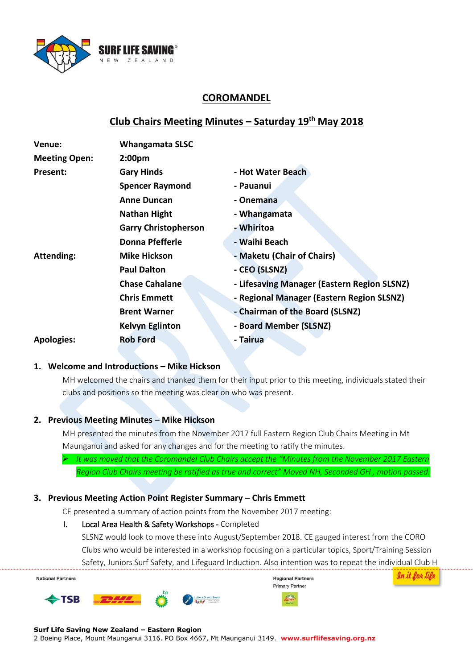

# **COROMANDEL**

# **Club Chairs Meeting Minutes – Saturday 19th May 2018**

| Venue:               | <b>Whangamata SLSC</b>      |                                             |  |
|----------------------|-----------------------------|---------------------------------------------|--|
| <b>Meeting Open:</b> | 2:00 <sub>pm</sub>          |                                             |  |
| Present:             | <b>Gary Hinds</b>           | - Hot Water Beach                           |  |
|                      | <b>Spencer Raymond</b>      | - Pauanui                                   |  |
|                      | <b>Anne Duncan</b>          | - Onemana                                   |  |
|                      | <b>Nathan Hight</b>         | - Whangamata                                |  |
|                      | <b>Garry Christopherson</b> | - Whiritoa                                  |  |
|                      | Donna Pfefferle             | - Waihi Beach                               |  |
| <b>Attending:</b>    | <b>Mike Hickson</b>         | - Maketu (Chair of Chairs)                  |  |
|                      | <b>Paul Dalton</b>          | - CEO (SLSNZ)                               |  |
|                      | <b>Chase Cahalane</b>       | - Lifesaving Manager (Eastern Region SLSNZ) |  |
|                      | <b>Chris Emmett</b>         | - Regional Manager (Eastern Region SLSNZ)   |  |
|                      | <b>Brent Warner</b>         | - Chairman of the Board (SLSNZ)             |  |
|                      | <b>Kelvyn Eglinton</b>      | - Board Member (SLSNZ)                      |  |
| <b>Apologies:</b>    | <b>Rob Ford</b>             | - Tairua                                    |  |

### **1. Welcome and Introductions – Mike Hickson**

MH welcomed the chairs and thanked them for their input prior to this meeting, individuals stated their clubs and positions so the meeting was clear on who was present.

### **2. Previous Meeting Minutes – Mike Hickson**

MH presented the minutes from the November 2017 full Eastern Region Club Chairs Meeting in Mt Maunganui and asked for any changes and for the meeting to ratify the minutes.

 *It was moved that the Coromandel Club Chairs accept the "Minutes from the November 2017 Eastern Region Club Chairs meeting be ratified as true and correct" Moved NH, Seconded GH , motion passed.* 

### **3. Previous Meeting Action Point Register Summary – Chris Emmett**

CE presented a summary of action points from the November 2017 meeting:

#### I. Local Area Health & Safety Workshops - Completed

SLSNZ would look to move these into August/September 2018. CE gauged interest from the CORO Clubs who would be interested in a workshop focusing on a particular topics, Sport/Training Session Safety, Juniors Surf Safety, and Lifeguard Induction. Also intention was to repeat the individual Club H



#### **Surf Life Saving New Zealand – Eastern Region**

2 Boeing Place, Mount Maunganui 3116. PO Box 4667, Mt Maunganui 3149. **www.surflifesaving.org.nz**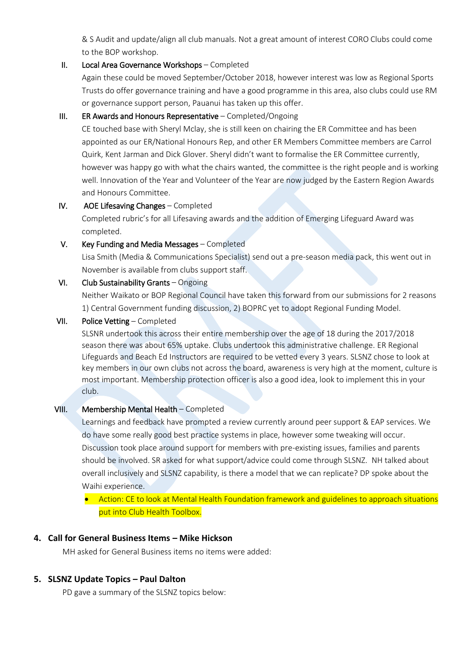& S Audit and update/align all club manuals. Not a great amount of interest CORO Clubs could come to the BOP workshop.

#### II. Local Area Governance Workshops – Completed

Again these could be moved September/October 2018, however interest was low as Regional Sports Trusts do offer governance training and have a good programme in this area, also clubs could use RM or governance support person, Pauanui has taken up this offer.

### III. ER Awards and Honours Representative – Completed/Ongoing

CE touched base with Sheryl Mclay, she is still keen on chairing the ER Committee and has been appointed as our ER/National Honours Rep, and other ER Members Committee members are Carrol Quirk, Kent Jarman and Dick Glover. Sheryl didn't want to formalise the ER Committee currently, however was happy go with what the chairs wanted, the committee is the right people and is working well. Innovation of the Year and Volunteer of the Year are now judged by the Eastern Region Awards and Honours Committee.

### IV. AOE Lifesaving Changes – Completed

Completed rubric's for all Lifesaving awards and the addition of Emerging Lifeguard Award was completed.

### V. Key Funding and Media Messages – Completed

Lisa Smith (Media & Communications Specialist) send out a pre-season media pack, this went out in November is available from clubs support staff.

## VI. Club Sustainability Grants – Ongoing

Neither Waikato or BOP Regional Council have taken this forward from our submissions for 2 reasons 1) Central Government funding discussion, 2) BOPRC yet to adopt Regional Funding Model.

### VII. Police Vetting – Completed

SLSNR undertook this across their entire membership over the age of 18 during the 2017/2018 season there was about 65% uptake. Clubs undertook this administrative challenge. ER Regional Lifeguards and Beach Ed Instructors are required to be vetted every 3 years. SLSNZ chose to look at key members in our own clubs not across the board, awareness is very high at the moment, culture is most important. Membership protection officer is also a good idea, look to implement this in your club.

### VIII. Membership Mental Health – Completed

Learnings and feedback have prompted a review currently around peer support & EAP services. We do have some really good best practice systems in place, however some tweaking will occur. Discussion took place around support for members with pre-existing issues, families and parents should be involved. SR asked for what support/advice could come through SLSNZ. NH talked about overall inclusively and SLSNZ capability, is there a model that we can replicate? DP spoke about the Waihi experience.

## **•** Action: CE to look at Mental Health Foundation framework and guidelines to approach situations put into Club Health Toolbox.

## **4. Call for General Business Items – Mike Hickson**

MH asked for General Business items no items were added:

## **5. SLSNZ Update Topics – Paul Dalton**

PD gave a summary of the SLSNZ topics below: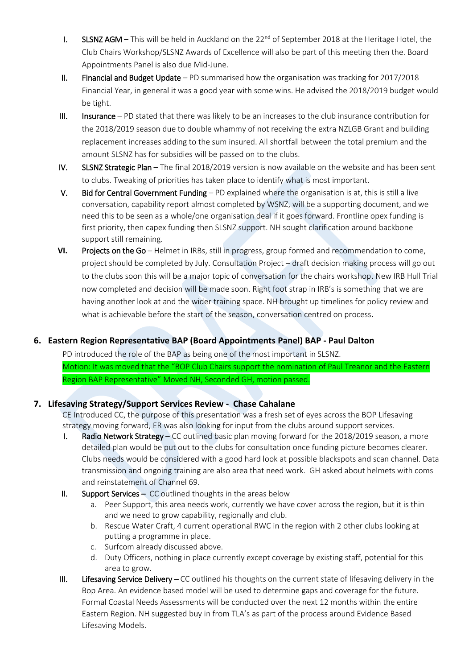- I. SLSNZ AGM This will be held in Auckland on the 22<sup>nd</sup> of September 2018 at the Heritage Hotel, the Club Chairs Workshop/SLSNZ Awards of Excellence will also be part of this meeting then the. Board Appointments Panel is also due Mid-June.
- II. Financial and Budget Update PD summarised how the organisation was tracking for 2017/2018 Financial Year, in general it was a good year with some wins. He advised the 2018/2019 budget would be tight.
- III. Insurance PD stated that there was likely to be an increases to the club insurance contribution for the 2018/2019 season due to double whammy of not receiving the extra NZLGB Grant and building replacement increases adding to the sum insured. All shortfall between the total premium and the amount SLSNZ has for subsidies will be passed on to the clubs.
- IV. SLSNZ Strategic Plan The final 2018/2019 version is now available on the website and has been sent to clubs. Tweaking of priorities has taken place to identify what is most important.
- V. Bid for Central Government Funding  $-$  PD explained where the organisation is at, this is still a live conversation, capability report almost completed by WSNZ, will be a supporting document, and we need this to be seen as a whole/one organisation deal if it goes forward. Frontline opex funding is first priority, then capex funding then SLSNZ support. NH sought clarification around backbone support still remaining.
- **VI.** Projects on the Go Helmet in IRBs, still in progress, group formed and recommendation to come, project should be completed by July. Consultation Project – draft decision making process will go out to the clubs soon this will be a major topic of conversation for the chairs workshop. New IRB Hull Trial now completed and decision will be made soon. Right foot strap in IRB's is something that we are having another look at and the wider training space. NH brought up timelines for policy review and what is achievable before the start of the season, conversation centred on process.

# **6. Eastern Region Representative BAP (Board Appointments Panel) BAP - Paul Dalton**

PD introduced the role of the BAP as being one of the most important in SLSNZ. Motion: It was moved that the "BOP Club Chairs support the nomination of Paul Treanor and the Eastern Region BAP Representative" Moved NH, Seconded GH, motion passed.

## **7. Lifesaving Strategy/Support Services Review - Chase Cahalane**

CE Introduced CC, the purpose of this presentation was a fresh set of eyes across the BOP Lifesaving strategy moving forward, ER was also looking for input from the clubs around support services.

- I. Radio Network Strategy CC outlined basic plan moving forward for the 2018/2019 season, a more detailed plan would be put out to the clubs for consultation once funding picture becomes clearer. Clubs needs would be considered with a good hard look at possible blackspots and scan channel. Data transmission and ongoing training are also area that need work. GH asked about helmets with coms and reinstatement of Channel 69.
- II. Support Services CC outlined thoughts in the areas below
	- a. Peer Support, this area needs work, currently we have cover across the region, but it is thin and we need to grow capability, regionally and club.
	- b. Rescue Water Craft, 4 current operational RWC in the region with 2 other clubs looking at putting a programme in place.
	- c. Surfcom already discussed above.
	- d. Duty Officers, nothing in place currently except coverage by existing staff, potential for this area to grow.
- III. Lifesaving Service Delivery CC outlined his thoughts on the current state of lifesaving delivery in the Bop Area. An evidence based model will be used to determine gaps and coverage for the future. Formal Coastal Needs Assessments will be conducted over the next 12 months within the entire Eastern Region. NH suggested buy in from TLA's as part of the process around Evidence Based Lifesaving Models.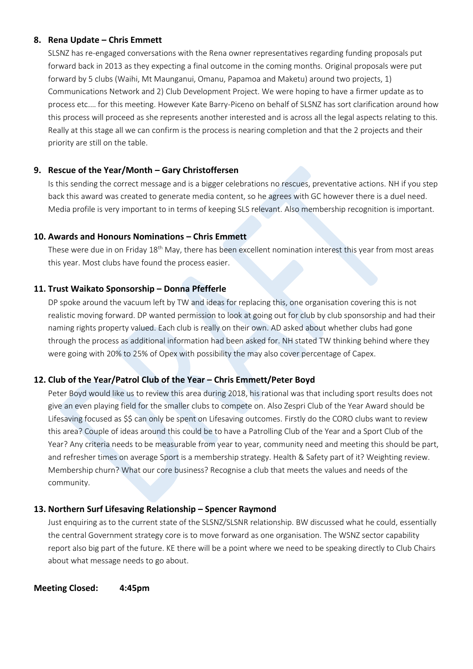### **8. Rena Update – Chris Emmett**

SLSNZ has re-engaged conversations with the Rena owner representatives regarding funding proposals put forward back in 2013 as they expecting a final outcome in the coming months. Original proposals were put forward by 5 clubs (Waihi, Mt Maunganui, Omanu, Papamoa and Maketu) around two projects, 1) Communications Network and 2) Club Development Project. We were hoping to have a firmer update as to process etc.… for this meeting. However Kate Barry-Piceno on behalf of SLSNZ has sort clarification around how this process will proceed as she represents another interested and is across all the legal aspects relating to this. Really at this stage all we can confirm is the process is nearing completion and that the 2 projects and their priority are still on the table.

## **9. Rescue of the Year/Month – Gary Christoffersen**

Is this sending the correct message and is a bigger celebrations no rescues, preventative actions. NH if you step back this award was created to generate media content, so he agrees with GC however there is a duel need. Media profile is very important to in terms of keeping SLS relevant. Also membership recognition is important.

### **10. Awards and Honours Nominations – Chris Emmett**

These were due in on Friday  $18<sup>th</sup>$  May, there has been excellent nomination interest this year from most areas this year. Most clubs have found the process easier.

### **11. Trust Waikato Sponsorship – Donna Pfefferle**

DP spoke around the vacuum left by TW and ideas for replacing this, one organisation covering this is not realistic moving forward. DP wanted permission to look at going out for club by club sponsorship and had their naming rights property valued. Each club is really on their own. AD asked about whether clubs had gone through the process as additional information had been asked for. NH stated TW thinking behind where they were going with 20% to 25% of Opex with possibility the may also cover percentage of Capex.

## **12. Club of the Year/Patrol Club of the Year – Chris Emmett/Peter Boyd**

Peter Boyd would like us to review this area during 2018, his rational was that including sport results does not give an even playing field for the smaller clubs to compete on. Also Zespri Club of the Year Award should be Lifesaving focused as \$\$ can only be spent on Lifesaving outcomes. Firstly do the CORO clubs want to review this area? Couple of ideas around this could be to have a Patrolling Club of the Year and a Sport Club of the Year? Any criteria needs to be measurable from year to year, community need and meeting this should be part, and refresher times on average Sport is a membership strategy. Health & Safety part of it? Weighting review. Membership churn? What our core business? Recognise a club that meets the values and needs of the community.

## **13. Northern Surf Lifesaving Relationship – Spencer Raymond**

Just enquiring as to the current state of the SLSNZ/SLSNR relationship. BW discussed what he could, essentially the central Government strategy core is to move forward as one organisation. The WSNZ sector capability report also big part of the future. KE there will be a point where we need to be speaking directly to Club Chairs about what message needs to go about.

**Meeting Closed: 4:45pm**